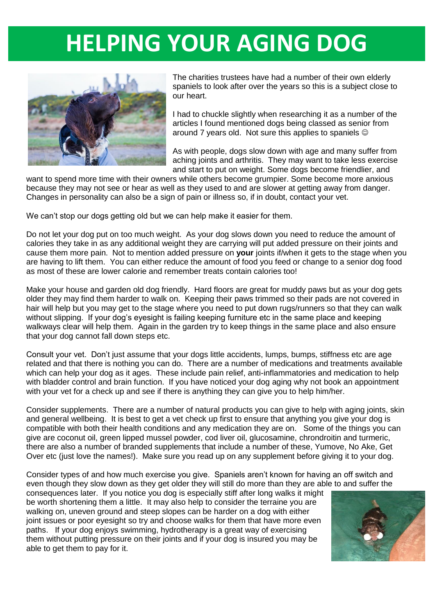## **HELPING YOUR AGING DOG**



The charities trustees have had a number of their own elderly spaniels to look after over the years so this is a subject close to our heart.

I had to chuckle slightly when researching it as a number of the articles I found mentioned dogs being classed as senior from around 7 years old. Not sure this applies to spaniels

As with people, dogs slow down with age and many suffer from aching joints and arthritis. They may want to take less exercise and start to put on weight. Some dogs become friendlier, and

want to spend more time with their owners while others become grumpier. Some become more anxious because they may not see or hear as well as they used to and are slower at getting away from danger. Changes in personality can also be a sign of pain or illness so, if in doubt, contact your vet.

We can't stop our dogs getting old but we can help make it easier for them.

Do not let your dog put on too much weight. As your dog slows down you need to reduce the amount of calories they take in as any additional weight they are carrying will put added pressure on their joints and cause them more pain. Not to mention added pressure on **your** joints if/when it gets to the stage when you are having to lift them. You can either reduce the amount of food you feed or change to a senior dog food as most of these are lower calorie and remember treats contain calories too!

Make your house and garden old dog friendly. Hard floors are great for muddy paws but as your dog gets older they may find them harder to walk on. Keeping their paws trimmed so their pads are not covered in hair will help but you may get to the stage where you need to put down rugs/runners so that they can walk without slipping. If your dog's evesight is failing keeping furniture etc in the same place and keeping walkways clear will help them. Again in the garden try to keep things in the same place and also ensure that your dog cannot fall down steps etc.

Consult your vet. Don't just assume that your dogs little accidents, lumps, bumps, stiffness etc are age related and that there is nothing you can do. There are a number of medications and treatments available which can help your dog as it ages. These include pain relief, anti-inflammatories and medication to help with bladder control and brain function. If you have noticed your dog aging why not book an appointment with your vet for a check up and see if there is anything they can give you to help him/her.

Consider supplements. There are a number of natural products you can give to help with aging joints, skin and general wellbeing. It is best to get a vet check up first to ensure that anything you give your dog is compatible with both their health conditions and any medication they are on. Some of the things you can give are coconut oil, green lipped mussel powder, cod liver oil, glucosamine, chrondroitin and turmeric, there are also a number of branded supplements that include a number of these, Yumove, No Ake, Get Over etc (just love the names!). Make sure you read up on any supplement before giving it to your dog.

Consider types of and how much exercise you give. Spaniels aren't known for having an off switch and even though they slow down as they get older they will still do more than they are able to and suffer the

consequences later. If you notice you dog is especially stiff after long walks it might be worth shortening them a little. It may also help to consider the terraine you are walking on, uneven ground and steep slopes can be harder on a dog with either joint issues or poor eyesight so try and choose walks for them that have more even paths. If your dog enjoys swimming, hydrotherapy is a great way of exercising them without putting pressure on their joints and if your dog is insured you may be able to get them to pay for it.